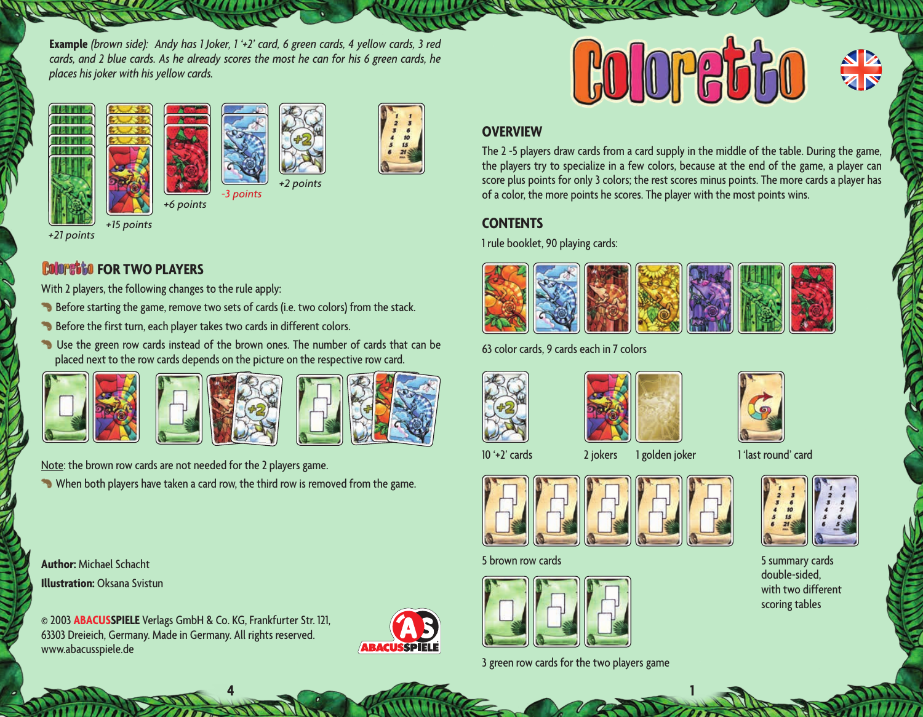**Example** *(brown side): Andy has 1 Joker, 1 '+2' card, 6 green cards, 4 yellow cards, 3 red cards, and 2 blue cards. As he already scores the most he can for his 6 green cards, he places his joker with his yellow cards.*









*+21 points*

# *<b>Follometical FOR TWO PLAYERS*

With 2 players, the following changes to the rule apply:

- Before starting the game, remove two sets of cards (i.e. two colors) from the stack.
- Before the first turn, each player takes two cards in different colors.

*+6 points*

**B** Use the green row cards instead of the brown ones. The number of cards that can be placed next to the row cards depends on the picture on the respective row card.









Note: the brown row cards are not needed for the 2 players game. When both players have taken a card row, the third row is removed from the game.

**Author:** Michael Schacht **Illustration:** Oksana Svistun

© 2003 **ABACUSSPIELE** Verlags GmbH & Co. KG, Frankfurter Str. 121, 63303 Dreieich, Germany. Made in Germany. All rights reserved. www.abacusspiele.de



 $4 \frac{1}{2}$  **1 1 1 1 1 1 1 1** 



### **OVERVIEW**

The 2 -5 players draw cards from a card supply in the middle of the table. During the game, the players try to specialize in a few colors, because at the end of the game, a player can score plus points for only 3 colors; the rest scores minus points. The more cards a player has of a color, the more points he scores. The player with the most points wins.

## **CONTENTS**

1 rule booklet, 90 playing cards:



63 color cards, 9 cards each in 7 colors









10 '+2' cards 2 jokers 1 golden joker 1 'last round' card



#### 5 brown row cards 5 summary cards



3 green row cards for the two players game



double-sided, with two different scoring tables